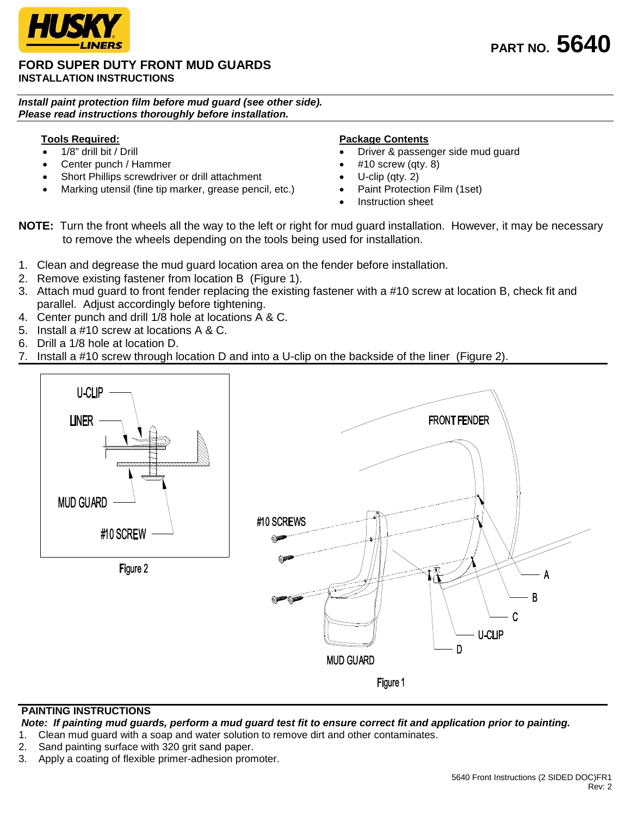

## **FORD SUPER DUTY FRONT MUD GUARDS INSTALLATION INSTRUCTIONS**

*Install paint protection film before mud guard (see other side). Please read instructions thoroughly before installation.*

## **Tools Required:**

- 1/8" drill bit / Drill
- Center punch / Hammer
- Short Phillips screwdriver or drill attachment
- Marking utensil (fine tip marker, grease pencil, etc.)

#### **Package Contents**

- Driver & passenger side mud guard
- #10 screw (qty. 8)
- U-clip (qty. 2)
- Paint Protection Film (1set)
- Instruction sheet
- **NOTE:** Turn the front wheels all the way to the left or right for mud guard installation. However, it may be necessary to remove the wheels depending on the tools being used for installation.
- 1. Clean and degrease the mud guard location area on the fender before installation.
- 2. Remove existing fastener from location B (Figure 1).
- 3. Attach mud guard to front fender replacing the existing fastener with a #10 screw at location B, check fit and parallel. Adjust accordingly before tightening.
- 4. Center punch and drill 1/8 hole at locations A & C.
- 5. Install a #10 screw at locations A & C.
- 6. Drill a 1/8 hole at location D.
- 7. Install a #10 screw through location D and into a U-clip on the backside of the liner (Figure 2).



## **PAINTING INSTRUCTIONS**

*Note: If painting mud guards, perform a mud guard test fit to ensure correct fit and application prior to painting.*<br>1. Clean mud quard with a soap and water solution to remove dirt and other contaminates.

- 1. Clean mud guard with a soap and water solution to remove dirt and other contaminates.<br>2. Sand painting surface with 320 grit sand paper.
- Sand painting surface with 320 grit sand paper.
- 3. Apply a coating of flexible primer-adhesion promoter.